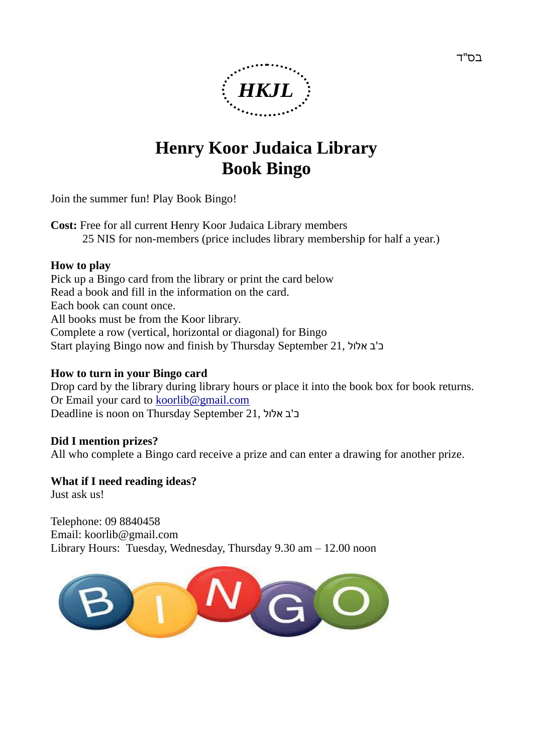

## **Henry Koor Judaica Library Book Bingo**

Join the summer fun! Play Book Bingo!

**Cost:** Free for all current Henry Koor Judaica Library members 25 NIS for non-members (price includes library membership for half a year.)

#### **How to play**

Pick up a Bingo card from the library or print the card below Read a book and fill in the information on the card. Each book can count once. All books must be from the Koor library. Complete a row (vertical, horizontal or diagonal) for Bingo Start playing Bingo now and finish by Thursday September 21, אלול ב'כ

#### **How to turn in your Bingo card**

Drop card by the library during library hours or place it into the book box for book returns. Or Email your card to [koorlib@gmail.com](mailto:koorlib@gmail.com) Deadline is noon on Thursday September 21, אלול ב 'כ

## **Did I mention prizes?**

All who complete a Bingo card receive a prize and can enter a drawing for another prize.

## **What if I need reading ideas?**

Just ask us!

Telephone: 09 8840458 Email: [koorlib@gmail.com](mailto:koorlib@gmail.com) Library Hours: Tuesday, Wednesday, Thursday 9.30 am – 12.00 noon